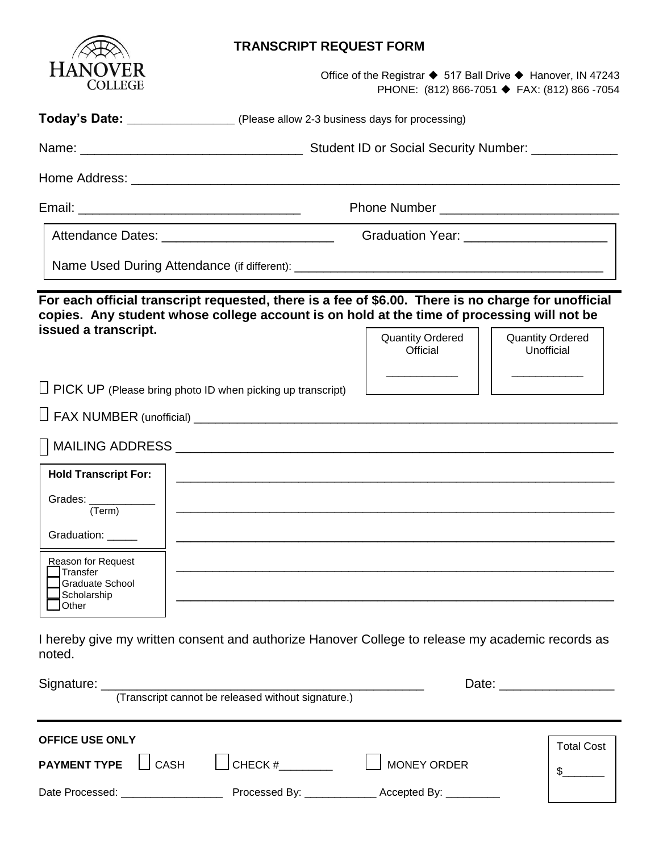

### **TRANSCRIPT REQUEST FORM**

Office of the Registrar ◆ 517 Ball Drive ◆ Hanover, IN 47243 PHONE: (812) 866-7051 ◆ FAX: (812) 866 -7054

**Today's Date: \_\_\_\_\_\_\_\_\_\_\_\_\_\_\_** (Please allow 2-3 business days for processing)

Name: <br>
Name: example and the Student ID or Social Security Number:

Home Address: **with a strategies** of the strategies of the strategies of the strategies of the strategies of the strategies of the strategies of the strategies of the strategies of the strategies of the strategies of the s

Email: \_\_\_\_\_\_\_\_\_\_\_\_\_\_\_\_\_\_\_\_\_\_\_\_\_\_\_\_\_\_\_ Phone Number \_\_\_\_\_\_\_\_\_\_\_\_\_\_\_\_\_\_\_\_\_\_\_\_\_

Attendance Dates: \_\_\_\_\_\_\_\_\_\_\_\_\_\_\_\_\_\_\_\_\_\_\_\_ Graduation Year: \_\_\_\_\_\_\_\_\_\_\_\_\_\_\_\_\_\_\_\_

Name Used During Attendance (if different): \_\_\_\_\_\_\_\_\_\_\_\_\_\_\_\_\_\_\_\_\_\_\_\_\_\_\_\_\_\_\_\_\_\_\_\_\_\_\_\_\_\_\_

**For each official transcript requested, there is a fee of \$6.00. There is no charge for unofficial copies. Any student whose college account is on hold at the time of processing will not be issued a transcript.** 

Quantity Ordered **Official** \_\_\_\_\_\_\_\_\_\_\_\_

Quantity Ordered Unofficial \_\_\_\_\_\_\_\_\_\_\_\_

 $\Box$  PICK UP (Please bring photo ID when picking up transcript)

FAX NUMBER (unofficial) \_\_\_\_\_\_\_\_\_\_\_\_\_\_\_\_\_\_\_\_\_\_\_\_\_\_\_\_\_\_\_\_\_\_\_\_\_\_\_\_\_\_\_\_\_\_\_\_\_\_\_\_\_\_\_\_\_\_\_

| ADDDECC<br><b>MAILING</b><br>טט בו ש<br>◡ |  |  |
|-------------------------------------------|--|--|
|                                           |  |  |

| <b>Hold Transcript For:</b>                                               |  |
|---------------------------------------------------------------------------|--|
| Grades:<br>(Term)                                                         |  |
| Graduation:                                                               |  |
| Reason for Request<br>Transfer<br>Graduate School<br>Scholarship<br>Other |  |

I hereby give my written consent and authorize Hanover College to release my academic records as noted.

|                        |                                                                                                                                                                                                                                | (Transcript cannot be released without signature.) |                                                                 |                   |
|------------------------|--------------------------------------------------------------------------------------------------------------------------------------------------------------------------------------------------------------------------------|----------------------------------------------------|-----------------------------------------------------------------|-------------------|
| <b>OFFICE USE ONLY</b> | <b>PAYMENT TYPE</b> CASH                                                                                                                                                                                                       | $\bigcup$ CHECK #                                  | MONEY ORDER                                                     | <b>Total Cost</b> |
|                        | Date Processed: Note that the state of the state of the state of the state of the state of the state of the state of the state of the state of the state of the state of the state of the state of the state of the state of t |                                                    | Processed By: _______________________ Accepted By: ____________ |                   |